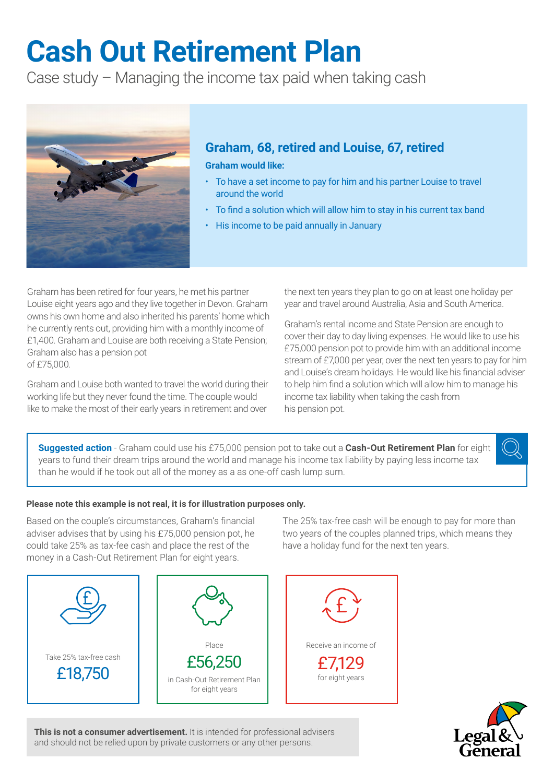# **Cash Out Retirement Plan**

Case study – Managing the income tax paid when taking cash



## **Graham, 68, retired and Louise, 67, retired**

**Graham would like:**

- To have a set income to pay for him and his partner Louise to travel around the world
- To find a solution which will allow him to stay in his current tax band
- His income to be paid annually in January

Graham has been retired for four years, he met his partner Louise eight years ago and they live together in Devon. Graham owns his own home and also inherited his parents' home which he currently rents out, providing him with a monthly income of £1,400. Graham and Louise are both receiving a State Pension; Graham also has a pension pot of £75,000.

Graham and Louise both wanted to travel the world during their working life but they never found the time. The couple would like to make the most of their early years in retirement and over

the next ten years they plan to go on at least one holiday per year and travel around Australia, Asia and South America.

Graham's rental income and State Pension are enough to cover their day to day living expenses. He would like to use his £75,000 pension pot to provide him with an additional income stream of £7,000 per year, over the next ten years to pay for him and Louise's dream holidays. He would like his financial adviser to help him find a solution which will allow him to manage his income tax liability when taking the cash from his pension pot.

**Suggested action** - Graham could use his £75,000 pension pot to take out a **Cash-Out Retirement Plan** for eight years to fund their dream trips around the world and manage his income tax liability by paying less income tax than he would if he took out all of the money as a as one-off cash lump sum.

## **Please note this example is not real, it is for illustration purposes only.**

Based on the couple's circumstances, Graham's financial adviser advises that by using his £75,000 pension pot, he could take 25% as tax-fee cash and place the rest of the money in a Cash-Out Retirement Plan for eight years.

The 25% tax-free cash will be enough to pay for more than two years of the couples planned trips, which means they have a holiday fund for the next ten years.





**This is not a consumer advertisement.** It is intended for professional advisers and should not be relied upon by private customers or any other persons.